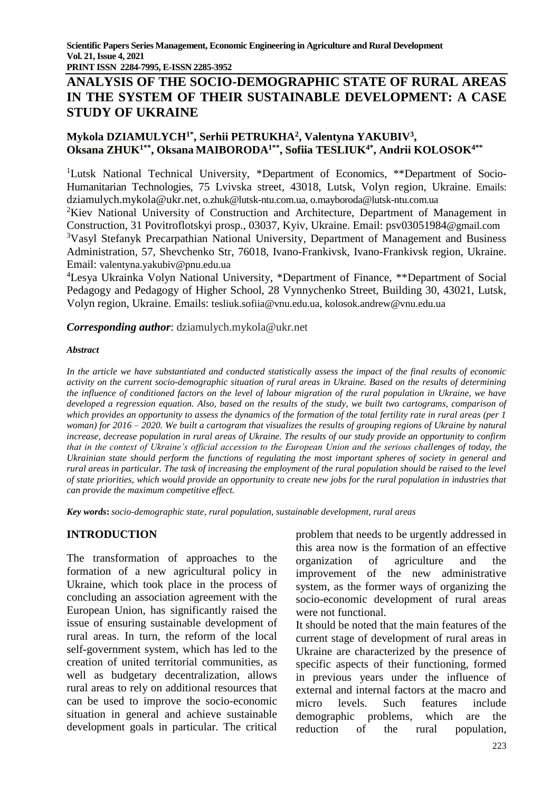**PRINT ISSN 2284-7995, E-ISSN 2285-3952** 

# **ANALYSIS OF THE SOCIO-DEMOGRAPHIC STATE OF RURAL AREAS IN THE SYSTEM OF THEIR SUSTAINABLE DEVELOPMENT: A CASE STUDY OF UKRAINE**

## **Mykola DZIAMULYCH1\* , Serhii PETRUKHA<sup>2</sup> , Valentyna YAKUBIV<sup>3</sup> , Oksana ZHUK1\*\*, Oksana MAIBORODA1\*\* , Sofiia TESLIUK4\* , Andrii KOLOSOK4\*\***

<sup>1</sup>Lutsk National Technical University, \*Department of Economics, \*\*Department of Socio-Humanitarian Technologies, 75 Lvivska street, 43018, Lutsk, Volyn region, Ukraine. Emails: dziamulych.mykola@ukr.net, o.zhuk@lutsk-ntu.com.ua, o.mayboroda@lutsk-ntu.com.ua

<sup>2</sup>Kiev National University of Construction and Architecture, Department of Management in Construction, 31 Povitroflotskyi prosp., 03037, Kyiv, Ukraine. Email: psv03051984@gmail.com <sup>3</sup>Vasyl Stefanyk Precarpathian National University, Department of Management and Business Administration, 57, Shevchenko Str, 76018, Ivano-Frankivsk, Ivano-Frankivsk region, Ukraine. Email: [valentyna.yakubiv@pnu.edu.ua](mailto:valentyna.yakubiv@pnu.edu.ua)

<sup>4</sup>Lesya Ukrainka Volyn National University, \*Department of Finance, \*\*Department of Social Pedagogy and Pedagogy of Higher School, 28 Vynnychenko Street, Building 30, 43021, Lutsk, Volyn region, Ukraine. Emails: tesliuk.sofiia@vnu.edu.ua, kolosok.andrew@vnu.edu.ua

*Corresponding author*: dziamulych.mykola@ukr.net

### *Abstract*

*In the article we have substantiated and conducted statistically assess the impact of the final results of economic activity on the current socio-demographic situation of rural areas in Ukraine. Based on the results of determining the influence of conditioned factors on the level of labour migration of the rural population in Ukraine, we have developed a regression equation. Also, based on the results of the study, we built two cartograms, comparison of which provides an opportunity to assess the dynamics of the formation of the total fertility rate in rural areas (per 1 woman) for 2016 – 2020. We built a cartogram that visualizes the results of grouping regions of Ukraine by natural increase, decrease population in rural areas of Ukraine. The results of our study provide an opportunity to confirm that in the context of Ukraine's official accession to the European Union and the serious challenges of today, the Ukrainian state should perform the functions of regulating the most important spheres of society in general and rural areas in particular. The task of increasing the employment of the rural population should be raised to the level of state priorities, which would provide an opportunity to create new jobs for the rural population in industries that can provide the maximum competitive effect.*

*Key words***:***socio-demographic state, rural population, sustainable development, rural areas*

## **INTRODUCTION**

The transformation of approaches to the formation of a new agricultural policy in Ukraine, which took place in the process of concluding an association agreement with the European Union, has significantly raised the issue of ensuring sustainable development of rural areas. In turn, the reform of the local self-government system, which has led to the creation of united territorial communities, as well as budgetary decentralization, allows rural areas to rely on additional resources that can be used to improve the socio-economic situation in general and achieve sustainable development goals in particular. The critical

problem that needs to be urgently addressed in this area now is the formation of an effective organization of agriculture and the improvement of the new administrative system, as the former ways of organizing the socio-economic development of rural areas were not functional.

It should be noted that the main features of the current stage of development of rural areas in Ukraine are characterized by the presence of specific aspects of their functioning, formed in previous years under the influence of external and internal factors at the macro and micro levels. Such features include demographic problems, which are the reduction of the rural population,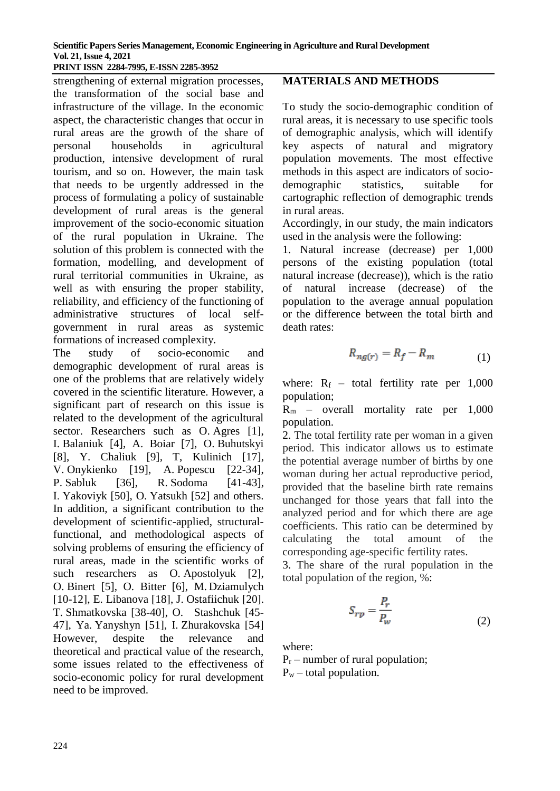strengthening of external migration processes, the transformation of the social base and infrastructure of the village. In the economic aspect, the characteristic changes that occur in rural areas are the growth of the share of personal households in agricultural production, intensive development of rural tourism, and so on. However, the main task that needs to be urgently addressed in the process of formulating a policy of sustainable development of rural areas is the general improvement of the socio-economic situation of the rural population in Ukraine. The solution of this problem is connected with the formation, modelling, and development of rural territorial communities in Ukraine, as well as with ensuring the proper stability, reliability, and efficiency of the functioning of administrative structures of local selfgovernment in rural areas as systemic formations of increased complexity.

The study of socio-economic and demographic development of rural areas is one of the problems that are relatively widely covered in the scientific literature. However, a significant part of research on this issue is related to the development of the agricultural sector. Researchers such as O. Agres [1], I. Balaniuk [4], A. Boiar [7], O. Buhutskyi [8], Y. Chaliuk [9]*,* T, Kulinich [17], V. Onykienko [19], A. Popescu [22-34], P. Sabluk [36], R. Sodoma [41-43], І. Yakoviyk [50], O. Yatsukh [52] and others. In addition, a significant contribution to the development of scientific-applied, structuralfunctional, and methodological aspects of solving problems of ensuring the efficiency of rural areas, made in the scientific works of such researchers as O. Apostolyuk [2], O. Binert [5], O. Bitter [6], M. Dziamulych [10-12], E. Libanova [18], J. Ostafiichuk [20]. T. Shmatkovska [38-40], O. Stashchuk [45- 47], Ya. Yanyshyn [51], I. Zhurakovska [54] However, despite the relevance and theoretical and practical value of the research, some issues related to the effectiveness of socio-economic policy for rural development need to be improved.

### **MATERIALS AND METHODS**

To study the socio-demographic condition of rural areas, it is necessary to use specific tools of demographic analysis, which will identify key aspects of natural and migratory population movements. The most effective methods in this aspect are indicators of sociodemographic statistics, suitable for cartographic reflection of demographic trends in rural areas.

Accordingly, in our study, the main indicators used in the analysis were the following:

1. Natural increase (decrease) per 1,000 persons of the existing population (total natural increase (decrease)), which is the ratio of natural increase (decrease) of the population to the average annual population or the difference between the total birth and death rates:

$$
R_{ng(r)} = R_f - R_m \tag{1}
$$

where:  $R_f$  – total fertility rate per 1,000 population;

 $R<sub>m</sub>$  – overall mortality rate per 1,000 population.

2. The total fertility rate per woman in a given period. This indicator allows us to estimate the potential average number of births by one woman during her actual reproductive period, provided that the baseline birth rate remains unchanged for those years that fall into the analyzed period and for which there are age coefficients. This ratio can be determined by calculating the total amount of the corresponding age-specific fertility rates.

3. The share of the rural population in the total population of the region, %:

$$
S_{rp} = \frac{P_r}{P_w} \tag{2}
$$

where:

 $P_r$  – number of rural population;

 $P_w$  – total population.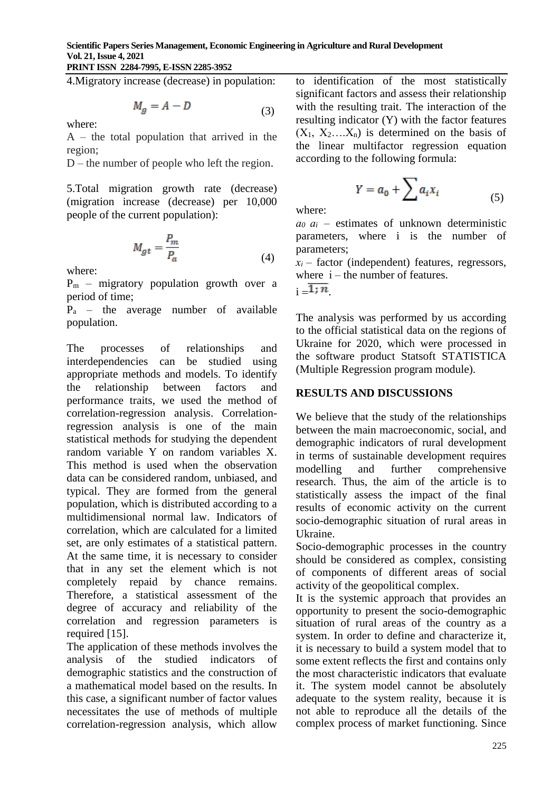**PRINT ISSN 2284-7995, E-ISSN 2285-3952** 

4.Migratory increase (decrease) in population:

$$
M_g = A - D \tag{3}
$$

where:

 $A$  – the total population that arrived in the region;

D – the number of people who left the region.

5.Total migration growth rate (decrease) (migration increase (decrease) per 10,000 people of the current population):

$$
M_{gt} = \frac{P_m}{P_a} \tag{4}
$$

where:

 $P_m$  – migratory population growth over a period of time;

 $P_a$  – the average number of available population.

The processes of relationships and interdependencies can be studied using appropriate methods and models. To identify the relationship between factors and performance traits, we used the method of correlation-regression analysis. Correlationregression analysis is one of the main statistical methods for studying the dependent random variable Y on random variables X. This method is used when the observation data can be considered random, unbiased, and typical. They are formed from the general population, which is distributed according to a multidimensional normal law. Indicators of correlation, which are calculated for a limited set, are only estimates of a statistical pattern. At the same time, it is necessary to consider that in any set the element which is not completely repaid by chance remains. Therefore, a statistical assessment of the degree of accuracy and reliability of the correlation and regression parameters is required [15].

The application of these methods involves the analysis of the studied indicators of demographic statistics and the construction of a mathematical model based on the results. In this case, a significant number of factor values necessitates the use of methods of multiple correlation-regression analysis, which allow

to identification of the most statistically significant factors and assess their relationship with the resulting trait. The interaction of the resulting indicator (Y) with the factor features  $(X_1, X_2,...X_n)$  is determined on the basis of the linear multifactor regression equation according to the following formula:

$$
Y = a_0 + \sum a_i x_i \tag{5}
$$

where:

*а<sup>0</sup> а<sup>i</sup>* – estimates of unknown deterministic parameters, where i is the number of parameters;

 $x_i$  – factor (independent) features, regressors, where  $i$  – the number of features.

 $i = \overline{1; n}$ 

The analysis was performed by us according to the official statistical data on the regions of Ukraine for 2020, which were processed in the software product Statsoft STATISTICA (Multiple Regression program module).

## **RESULTS AND DISCUSSIONS**

We believe that the study of the relationships between the main macroeconomic, social, and demographic indicators of rural development in terms of sustainable development requires modelling and further comprehensive research. Thus, the aim of the article is to statistically assess the impact of the final results of economic activity on the current socio-demographic situation of rural areas in Ukraine.

Socio-demographic processes in the country should be considered as complex, consisting of components of different areas of social activity of the geopolitical complex.

It is the systemic approach that provides an opportunity to present the socio-demographic situation of rural areas of the country as a system. In order to define and characterize it, it is necessary to build a system model that to some extent reflects the first and contains only the most characteristic indicators that evaluate it. The system model cannot be absolutely adequate to the system reality, because it is not able to reproduce all the details of the complex process of market functioning. Since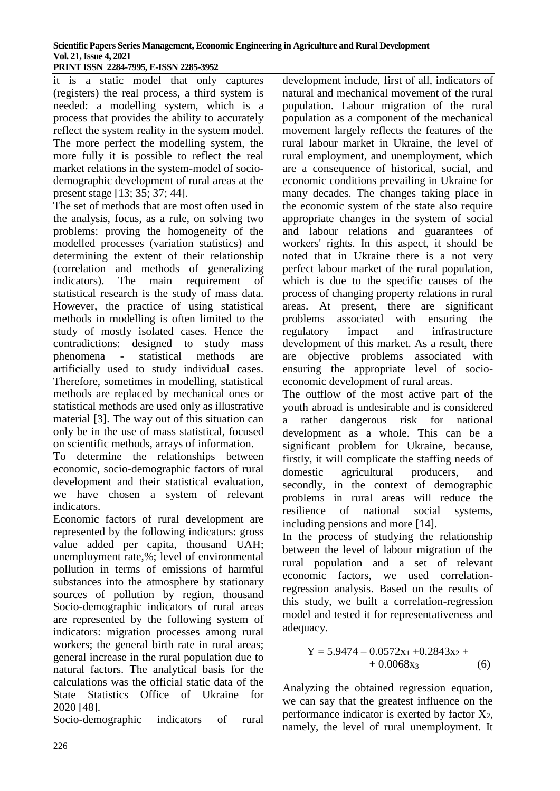it is a static model that only captures (registers) the real process, a third system is needed: a modelling system, which is a process that provides the ability to accurately reflect the system reality in the system model. The more perfect the modelling system, the more fully it is possible to reflect the real market relations in the system-model of sociodemographic development of rural areas at the present stage [13; 35; 37; 44].

The set of methods that are most often used in the analysis, focus, as a rule, on solving two problems: proving the homogeneity of the modelled processes (variation statistics) and determining the extent of their relationship (correlation and methods of generalizing indicators). The main requirement of statistical research is the study of mass data. However, the practice of using statistical methods in modelling is often limited to the study of mostly isolated cases. Hence the contradictions: designed to study mass phenomena - statistical methods are artificially used to study individual cases. Therefore, sometimes in modelling, statistical methods are replaced by mechanical ones or statistical methods are used only as illustrative material [3]. The way out of this situation can only be in the use of mass statistical, focused on scientific methods, arrays of information.

To determine the relationships between economic, socio-demographic factors of rural development and their statistical evaluation, we have chosen a system of relevant indicators.

Economic factors of rural development are represented by the following indicators: gross value added per capita, thousand UAH; unemployment rate,%; level of environmental pollution in terms of emissions of harmful substances into the atmosphere by stationary sources of pollution by region, thousand Socio-demographic indicators of rural areas are represented by the following system of indicators: migration processes among rural workers; the general birth rate in rural areas; general increase in the rural population due to natural factors. The analytical basis for the calculations was the official static data of the State Statistics Office of Ukraine for 2020 [48].

Socio-demographic indicators of rural

development include, first of all, indicators of natural and mechanical movement of the rural population. Labour migration of the rural population as a component of the mechanical movement largely reflects the features of the rural labour market in Ukraine, the level of rural employment, and unemployment, which are a consequence of historical, social, and economic conditions prevailing in Ukraine for many decades. The changes taking place in the economic system of the state also require appropriate changes in the system of social and labour relations and guarantees of workers' rights. In this aspect, it should be noted that in Ukraine there is a not very perfect labour market of the rural population, which is due to the specific causes of the process of changing property relations in rural areas. At present, there are significant problems associated with ensuring the regulatory impact and infrastructure development of this market. As a result, there are objective problems associated with ensuring the appropriate level of socioeconomic development of rural areas.

The outflow of the most active part of the youth abroad is undesirable and is considered rather dangerous risk for national development as a whole. This can be a significant problem for Ukraine, because, firstly, it will complicate the staffing needs of domestic agricultural producers, and secondly, in the context of demographic problems in rural areas will reduce the resilience of national social systems, including pensions and more [14].

In the process of studying the relationship between the level of labour migration of the rural population and a set of relevant economic factors, we used correlationregression analysis. Based on the results of this study, we built a correlation-regression model and tested it for representativeness and adequacy.

$$
Y = 5.9474 - 0.0572x_1 + 0.2843x_2 ++ 0.0068x_3
$$
 (6)

Analyzing the obtained regression equation, we can say that the greatest influence on the performance indicator is exerted by factor  $X_2$ , namely, the level of rural unemployment. It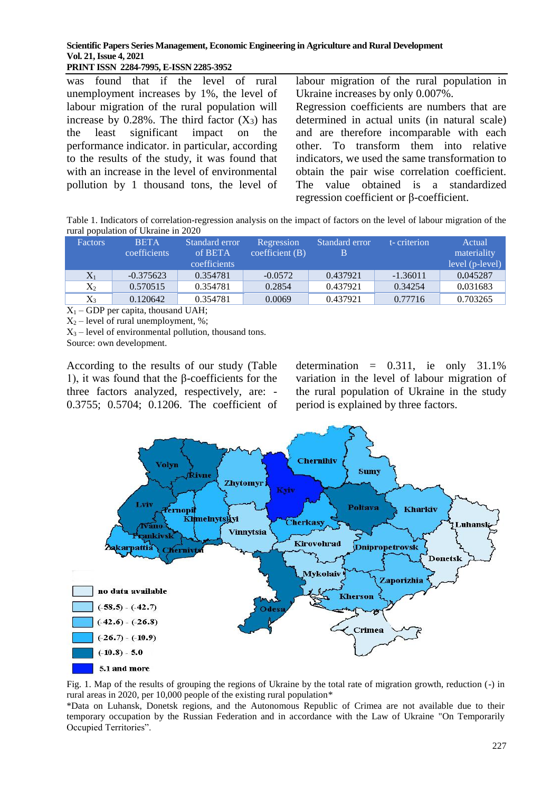### **PRINT ISSN 2284-7995, E-ISSN 2285-3952**

was found that if the level of rural unemployment increases by 1%, the level of labour migration of the rural population will increase by 0.28%. The third factor  $(X_3)$  has the least significant impact on the performance indicator. in particular, according to the results of the study, it was found that with an increase in the level of environmental pollution by 1 thousand tons, the level of labour migration of the rural population in Ukraine increases by only 0.007%.

Regression coefficients are numbers that are determined in actual units (in natural scale) and are therefore incomparable with each other. To transform them into relative indicators, we used the same transformation to obtain the pair wise correlation coefficient. The value obtained is a standardized regression coefficient or β-coefficient.

Table 1. Indicators of correlation-regression analysis on the impact of factors on the level of labour migration of the rural population of Ukraine in 2020

| <b>Factors</b> | <b>BETA</b><br>coefficients | Standard error<br>of BETA<br><i>coefficients</i> | Regression<br>coefficient $(B)$ | Standard error<br>В | t-criterion | Actual<br>materiality<br>level (p-level) |
|----------------|-----------------------------|--------------------------------------------------|---------------------------------|---------------------|-------------|------------------------------------------|
| $X_1$          | $-0.375623$                 | 0.354781                                         | $-0.0572$                       | 0.437921            | $-1.36011$  | 0.045287                                 |
| $X_2$          | 0.570515                    | 0.354781                                         | 0.2854                          | 0.437921            | 0.34254     | 0.031683                                 |
| $X_3$          | 0.120642                    | 0.354781                                         | 0.0069                          | 0.437921            | 0.77716     | 0.703265                                 |

 $X_1$  – GDP per capita, thousand UAH;

 $X_2$  – level of rural unemployment, %;

 $X_3$  – level of environmental pollution, thousand tons.

Source: own development.

According to the results of our study (Table 1), it was found that the β-coefficients for the three factors analyzed, respectively, are: - 0.3755; 0.5704; 0.1206. The coefficient of determination  $= 0.311$ , ie only  $31.1\%$ variation in the level of labour migration of the rural population of Ukraine in the study period is explained by three factors.



Fig. 1. Map of the results of grouping the regions of Ukraine by the total rate of migration growth, reduction (-) in rural areas in 2020, per 10,000 people of the existing rural population\*

\*Data on Luhansk, Donetsk regions, and the Autonomous Republic of Crimea are not available due to their temporary occupation by the Russian Federation and in accordance with the Law of Ukraine "On Temporarily Occupied Territories".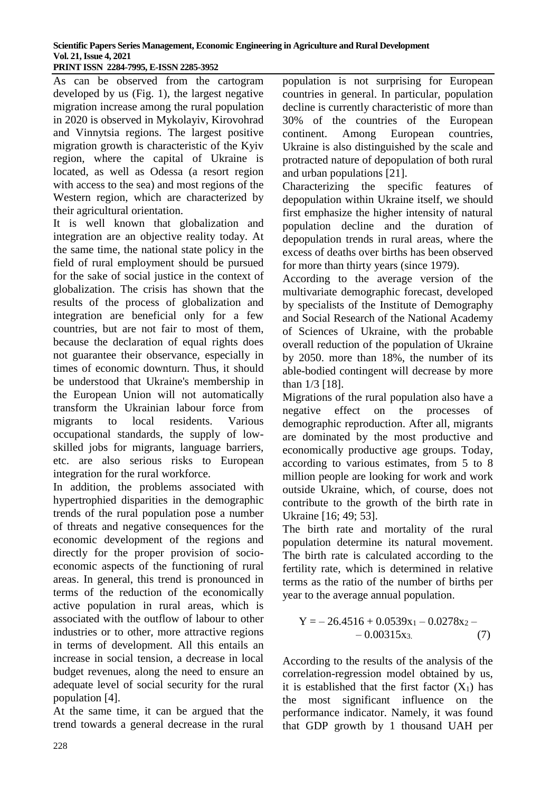As can be observed from the cartogram developed by us (Fig. 1), the largest negative migration increase among the rural population in 2020 is observed in Mykolayiv, Kirovohrad and Vinnytsia regions. The largest positive migration growth is characteristic of the Kyiv region, where the capital of Ukraine is located, as well as Odessa (a resort region with access to the sea) and most regions of the Western region, which are characterized by their agricultural orientation.

It is well known that globalization and integration are an objective reality today. At the same time, the national state policy in the field of rural employment should be pursued for the sake of social justice in the context of globalization. The crisis has shown that the results of the process of globalization and integration are beneficial only for a few countries, but are not fair to most of them, because the declaration of equal rights does not guarantee their observance, especially in times of economic downturn. Thus, it should be understood that Ukraine's membership in the European Union will not automatically transform the Ukrainian labour force from migrants to local residents. Various occupational standards, the supply of lowskilled jobs for migrants, language barriers, etc. are also serious risks to European integration for the rural workforce.

In addition, the problems associated with hypertrophied disparities in the demographic trends of the rural population pose a number of threats and negative consequences for the economic development of the regions and directly for the proper provision of socioeconomic aspects of the functioning of rural areas. In general, this trend is pronounced in terms of the reduction of the economically active population in rural areas, which is associated with the outflow of labour to other industries or to other, more attractive regions in terms of development. All this entails an increase in social tension, a decrease in local budget revenues, along the need to ensure an adequate level of social security for the rural population [4].

At the same time, it can be argued that the trend towards a general decrease in the rural

population is not surprising for European countries in general. In particular, population decline is currently characteristic of more than 30% of the countries of the European continent. Among European countries, Ukraine is also distinguished by the scale and protracted nature of depopulation of both rural and urban populations [21].

Characterizing the specific features of depopulation within Ukraine itself, we should first emphasize the higher intensity of natural population decline and the duration of depopulation trends in rural areas, where the excess of deaths over births has been observed for more than thirty years (since 1979).

According to the average version of the multivariate demographic forecast, developed by specialists of the Institute of Demography and Social Research of the National Academy of Sciences of Ukraine, with the probable overall reduction of the population of Ukraine by 2050. more than 18%, the number of its able-bodied contingent will decrease by more than 1/3 [18].

Migrations of the rural population also have a negative effect on the processes of demographic reproduction. After all, migrants are dominated by the most productive and economically productive age groups. Today, according to various estimates, from 5 to 8 million people are looking for work and work outside Ukraine, which, of course, does not contribute to the growth of the birth rate in Ukraine [16; 49; 53].

The birth rate and mortality of the rural population determine its natural movement. The birth rate is calculated according to the fertility rate, which is determined in relative terms as the ratio of the number of births per year to the average annual population.

$$
Y = -26.4516 + 0.0539x_1 - 0.0278x_2 - 0.00315x_3
$$
 (7)

According to the results of the analysis of the correlation-regression model obtained by us, it is established that the first factor  $(X_1)$  has the most significant influence on the performance indicator. Namely, it was found that GDP growth by 1 thousand UAH per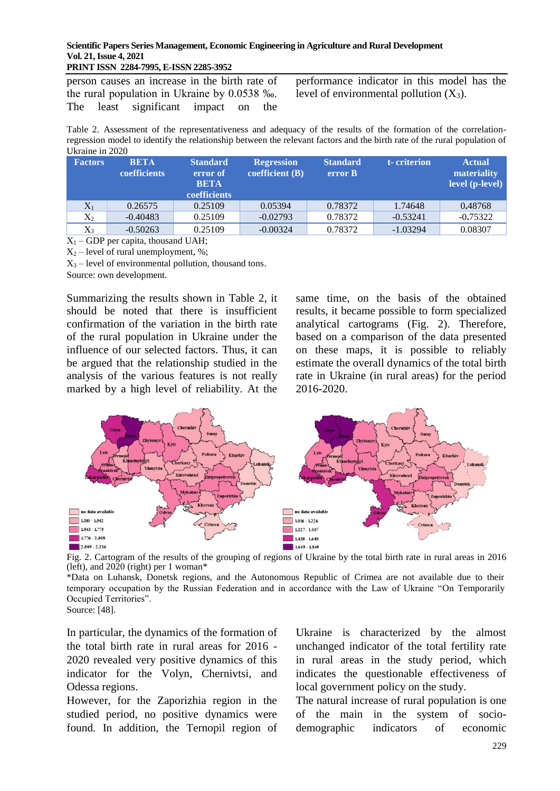person causes an increase in the birth rate of the rural population in Ukraine by 0.0538 ‰. The least significant impact on the

performance indicator in this model has the level of environmental pollution  $(X_3)$ .

Table 2. Assessment of the representativeness and adequacy of the results of the formation of the correlationregression model to identify the relationship between the relevant factors and the birth rate of the rural population of Ukraine in 2020

| <b>Factors</b> | <b>BETA</b><br>coefficients | <b>Standard</b><br>error of<br><b>BETA</b><br>coefficients | <b>Regression</b><br>coefficient $(B)$ | <b>Standard</b><br>error B | t-criterion | <b>Actual</b><br>materiality<br>level (p-level) |
|----------------|-----------------------------|------------------------------------------------------------|----------------------------------------|----------------------------|-------------|-------------------------------------------------|
| $X_1$          | 0.26575                     | 0.25109                                                    | 0.05394                                | 0.78372                    | 1.74648     | 0.48768                                         |
| $X_2$          | $-0.40483$                  | 0.25109                                                    | $-0.02793$                             | 0.78372                    | $-0.53241$  | $-0.75322$                                      |
| $X_3$          | $-0.50263$                  | 0.25109                                                    | $-0.00324$                             | 0.78372                    | $-1.03294$  | 0.08307                                         |

 $X_1$  – GDP per capita, thousand UAH;

 $X_2$  – level of rural unemployment, %;

 $X_3$  – level of environmental pollution, thousand tons.

Source: own development.

Summarizing the results shown in Table 2, it should be noted that there is insufficient confirmation of the variation in the birth rate of the rural population in Ukraine under the influence of our selected factors. Thus, it can be argued that the relationship studied in the analysis of the various features is not really marked by a high level of reliability. At the

same time, on the basis of the obtained results, it became possible to form specialized analytical cartograms (Fig. 2). Therefore, based on a comparison of the data presented on these maps, it is possible to reliably estimate the overall dynamics of the total birth rate in Ukraine (in rural areas) for the period 2016-2020.



Fig. 2. Cartogram of the results of the grouping of regions of Ukraine by the total birth rate in rural areas in 2016 (left), and  $2020$  (right) per 1 woman\*

\*Data on Luhansk, Donetsk regions, and the Autonomous Republic of Crimea are not available due to their temporary occupation by the Russian Federation and in accordance with the Law of Ukraine "On Temporarily Occupied Territories".

Source: [48].

In particular, the dynamics of the formation of the total birth rate in rural areas for 2016 - 2020 revealed very positive dynamics of this indicator for the Volyn, Chernivtsi, and Odessa regions.

However, for the Zaporizhia region in the studied period, no positive dynamics were found. In addition, the Ternopil region of Ukraine is characterized by the almost unchanged indicator of the total fertility rate in rural areas in the study period, which indicates the questionable effectiveness of local government policy on the study.

The natural increase of rural population is one of the main in the system of sociodemographic indicators of economic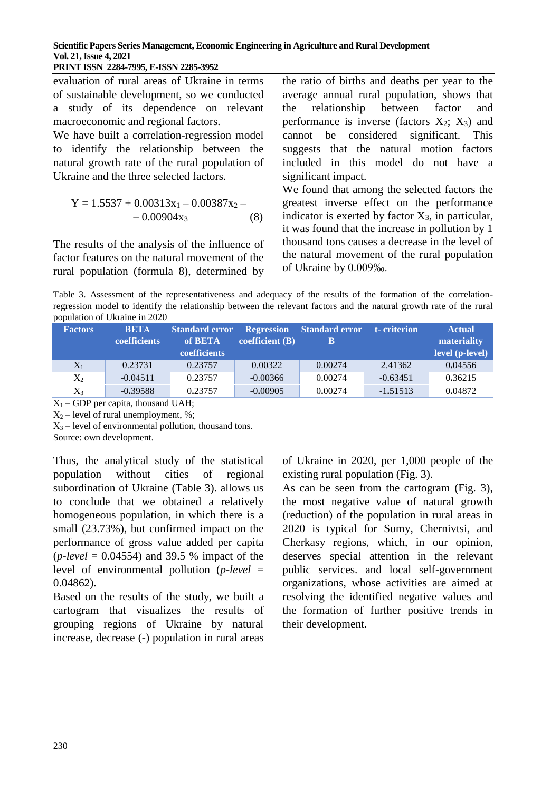**PRINT ISSN 2284-7995, E-ISSN 2285-3952** 

evaluation of rural areas of Ukraine in terms of sustainable development, so we conducted a study of its dependence on relevant macroeconomic and regional factors.

We have built a correlation-regression model to identify the relationship between the natural growth rate of the rural population of Ukraine and the three selected factors.

$$
Y = 1.5537 + 0.00313x_1 - 0.00387x_2 -
$$
  
- 0.00904x<sub>3</sub> (8)

The results of the analysis of the influence of factor features on the natural movement of the rural population (formula 8), determined by

the ratio of births and deaths per year to the average annual rural population, shows that the relationship between factor and performance is inverse (factors  $X_2$ ;  $X_3$ ) and cannot be considered significant. This suggests that the natural motion factors included in this model do not have a significant impact.

We found that among the selected factors the greatest inverse effect on the performance indicator is exerted by factor  $X_3$ , in particular, it was found that the increase in pollution by 1 thousand tons causes a decrease in the level of the natural movement of the rural population of Ukraine by 0.009‰.

Table 3. Assessment of the representativeness and adequacy of the results of the formation of the correlationregression model to identify the relationship between the relevant factors and the natural growth rate of the rural population of Ukraine in 2020

| <b>Factors</b> | <b>BETA</b><br>coefficients | <b>Standard error</b><br>of BETA | coefficient $(B)$ | <b>Regression</b> Standard error | t-criterion | <b>Actual</b><br>materiality |
|----------------|-----------------------------|----------------------------------|-------------------|----------------------------------|-------------|------------------------------|
|                |                             | coefficients                     |                   |                                  |             | level (p-level)              |
| $X_1$          | 0.23731                     | 0.23757                          | 0.00322           | 0.00274                          | 2.41362     | 0.04556                      |
| $X_2$          | $-0.04511$                  | 0.23757                          | $-0.00366$        | 0.00274                          | $-0.63451$  | 0.36215                      |
| $\mathrm{X}_3$ | $-0.39588$                  | 0.23757                          | $-0.00905$        | 0.00274                          | $-1.51513$  | 0.04872                      |

 $X_1$  – GDP per capita, thousand UAH;

 $X_2$  – level of rural unemployment, %;

 $X_3$  – level of environmental pollution, thousand tons.

Source: own development.

Thus, the analytical study of the statistical population without cities of regional subordination of Ukraine (Table 3). allows us to conclude that we obtained a relatively homogeneous population, in which there is a small (23.73%), but confirmed impact on the performance of gross value added per capita (*p-level* = 0.04554) and 39.5 % impact of the level of environmental pollution (*p-level* = 0.04862).

Based on the results of the study, we built a cartogram that visualizes the results of grouping regions of Ukraine by natural increase, decrease (-) population in rural areas of Ukraine in 2020, per 1,000 people of the existing rural population (Fig. 3).

As can be seen from the cartogram (Fig. 3), the most negative value of natural growth (reduction) of the population in rural areas in 2020 is typical for Sumy, Chernivtsi, and Cherkasy regions, which, in our opinion, deserves special attention in the relevant public services. and local self-government organizations, whose activities are aimed at resolving the identified negative values and the formation of further positive trends in their development.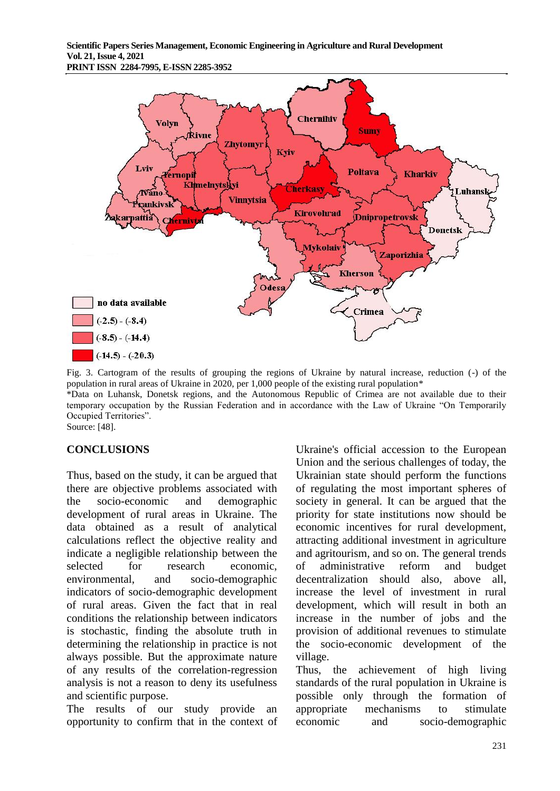**PRINT ISSN 2284-7995, E-ISSN 2285-3952** 



Fig. 3. Cartogram of the results of grouping the regions of Ukraine by natural increase, reduction (-) of the population in rural areas of Ukraine in 2020, per 1,000 people of the existing rural population\* \*Data on Luhansk, Donetsk regions, and the Autonomous Republic of Crimea are not available due to their temporary occupation by the Russian Federation and in accordance with the Law of Ukraine "On Temporarily Occupied Territories". Source: [48].

### **CONCLUSIONS**

Thus, based on the study, it can be argued that there are objective problems associated with the socio-economic and demographic development of rural areas in Ukraine. The data obtained as a result of analytical calculations reflect the objective reality and indicate a negligible relationship between the selected for research economic, environmental, and socio-demographic indicators of socio-demographic development of rural areas. Given the fact that in real conditions the relationship between indicators is stochastic, finding the absolute truth in determining the relationship in practice is not always possible. But the approximate nature of any results of the correlation-regression analysis is not a reason to deny its usefulness and scientific purpose.

The results of our study provide an opportunity to confirm that in the context of Ukraine's official accession to the European Union and the serious challenges of today, the Ukrainian state should perform the functions of regulating the most important spheres of society in general. It can be argued that the priority for state institutions now should be economic incentives for rural development, attracting additional investment in agriculture and agritourism, and so on. The general trends of administrative reform and budget decentralization should also, above all, increase the level of investment in rural development, which will result in both an increase in the number of jobs and the provision of additional revenues to stimulate the socio-economic development of the village.

Thus, the achievement of high living standards of the rural population in Ukraine is possible only through the formation of appropriate mechanisms to stimulate economic and socio-demographic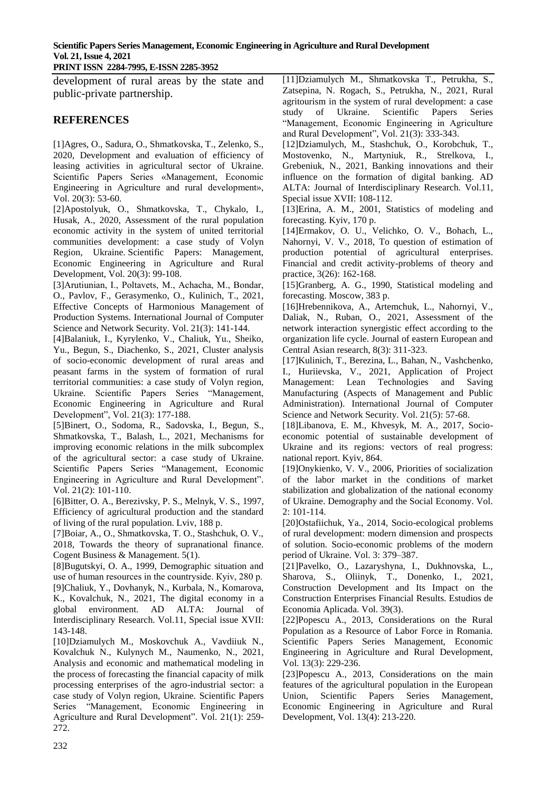**PRINT ISSN 2284-7995, E-ISSN 2285-3952** 

development of rural areas by the state and public-private partnership.

### **REFERENCES**

[1]Agres, O., Sadura, O., Shmatkovska, T., Zelenko, S., 2020, Development and evaluation of efficiency of leasing activities in agricultural sector of Ukraine. Scientific Papers Series «Management, Economic Engineering in Agriculture and rural development», Vol. 20(3): 53-60.

[2]Apostolyuk, O., Shmatkovska, T., Chykalo, I., Husak, A., 2020, Assessment of the rural population economic activity in the system of united territorial communities development: a case study of Volyn Region, Ukraine. Scientific Papers: Management, Economic Engineering in Agriculture and Rural Development, Vol. 20(3): 99-108.

[3]Arutiunian, I., Poltavets, M., Аchacha, M., Bondar, O., Pavlov, F., Gerasymenko, O., Kulinich, T., 2021, Effective Concepts of Harmonious Management of Production Systems. International Journal of Computer Science and Network Security. Vol. 21(3): 141-144.

[4]Balaniuk, I., Kyrylenko, V., Chaliuk, Yu., Sheiko, Yu., Begun, S., Diachenko, S., 2021, Cluster analysis of socio-economic development of rural areas and peasant farms in the system of formation of rural territorial communities: a case study of Volyn region, Ukraine. Scientific Papers Series "Management, Economic Engineering in Agriculture and Rural Development", Vol. 21(3): 177-188.

[5]Binert, O., Sodoma, R., Sadovska, I., Begun, S., Shmatkovska, T., Balash, L., 2021, Mechanisms for improving economic relations in the milk subcomplex of the agricultural sector: a case study of Ukraine. Scientific Papers Series "Management, Economic Engineering in Agriculture and Rural Development". Vol. 21(2): 101-110.

[6]Bitter, O. A., Berezivsky, P. S., Melnyk, V. S., 1997, Efficiency of agricultural production and the standard of living of the rural population. Lviv, 188 p.

[7]Boiar, A., O., Shmatkovska, T. O., Stashchuk, O. V., 2018, Towards the theory of supranational finance. Cogent Business & Management. 5(1).

[8]Bugutskyi, O. A., 1999, Demographic situation and use of human resources in the countryside. Кyiv, 280 p. [9]Chaliuk, Y., Dovhanyk, N., Kurbala, N., Komarova, K., Kovalchuk, N., 2021, The digital economy in a global environment. AD ALTA: Journal of Interdisciplinary Research. Vol.11, Special issue XVII: 143-148.

[10]Dziamulych M., Moskovchuk A., Vavdiiuk N., Kovalchuk N., Kulynych M., Naumenko, N., 2021, Analysis and economic and mathematical modeling in the process of forecasting the financial capacity of milk processing enterprises of the agro-industrial sector: a case study of Volyn region, Ukraine. Scientific Papers Series "Management, Economic Engineering in Agriculture and Rural Development". Vol. 21(1): 259- 272.

[11]Dziamulych M., Shmatkovska T., Petrukha, S., Zatsepina, N. Rogach, S., Petrukha, N., 2021, Rural agritourism in the system of rural development: a case study of Ukraine. Scientific Papers Series "Management, Economic Engineering in Agriculture and Rural Development", Vol. 21(3): 333-343.

[12]Dziamulych, M., Stashchuk, O., Korobchuk, T., Mostovenko, N., Martyniuk, R., Strelkova, I., Grebeniuk, N., 2021, Banking innovations and their influence on the formation of digital banking. AD ALTA: Journal of Interdisciplinary Research. Vol.11, Special issue XVII: 108-112.

[13]Erina, A. M., 2001, Statistics of modeling and forecasting. Kyiv, 170 p.

[14]Ermakov, O. U., Velichko, O. V., Bohach, L., Nahornyi, V. V., 2018, To question of estimation of production potential of agricultural enterprises. Financial and credit activity-problems of theory and practice, 3(26): 162-168.

[15]Granberg, A. G., 1990, Statistical modeling and forecasting. Moscow, 383 p.

[16]Hrebennikova, A., Artemchuk, L., Nahornyi, V., Daliak, N., Ruban, O., 2021, Assessment of the network interaction synergistic effect according to the organization life cycle. Journal of eastern European and Central Asian research, 8(3): 311-323.

[17]Kulinich, T., Berezina, L., Bahan, N., Vashchenko, I., Huriievska, V., 2021, Application of Project Management: Lean Technologies and Saving Manufacturing (Aspects of Management and Public Administration). International Journal of Computer Science and Network Security. Vol. 21(5): 57-68.

[18]Libanova, E. M., Khvesyk, M. A., 2017, Socioeconomic potential of sustainable development of Ukraine and its regions: vectors of real progress: national report. Kyiv, 864.

[19]Onykienko, V. V., 2006, Priorities of socialization of the labor market in the conditions of market stabilization and globalization of the national economy of Ukraine. Demography and the Social Economy. Vol. 2: 101-114.

[20]Ostafiichuk, Ya., 2014, Socio-ecological problems of rural development: modern dimension and prospects of solution. Socio-economic problems of the modern period of Ukraine. Vol. 3: 379–387.

[21]Pavelko, O., Lazaryshyna, I., Dukhnovska, L., Sharova, S., Oliinyk, T., Donenko, I., 2021, Construction Development and Its Impact on the Construction Enterprises Financial Results. Estudios de Economia Aplicada. Vol. 39(3).

[22]Popescu A., 2013, Considerations on the Rural Population as a Resource of Labor Force in Romania. Scientific Papers Series Management, Economic Engineering in Agriculture and Rural Development, Vol. 13(3): 229-236.

[23]Popescu A., 2013, Considerations on the main features of the agricultural population in the European Union, Scientific Papers Series Management, Economic Engineering in Agriculture and Rural Development, Vol. 13(4): 213-220.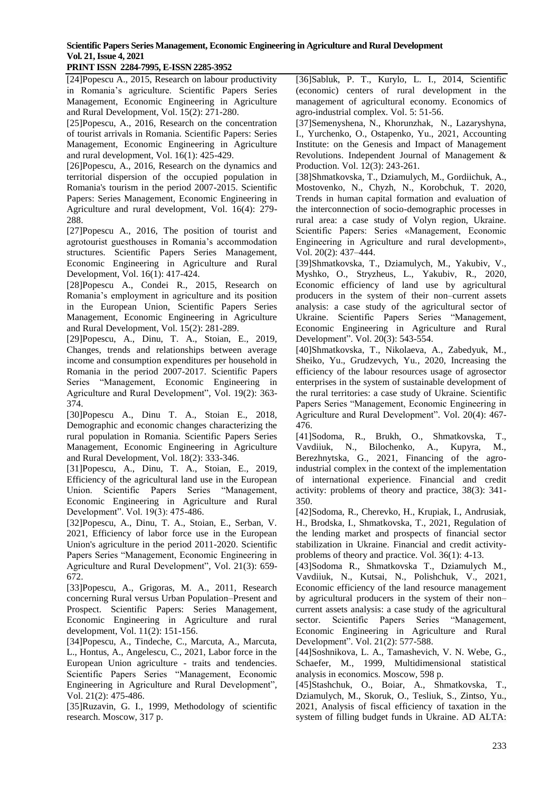**PRINT ISSN 2284-7995, E-ISSN 2285-3952** 

[24]Popescu A., 2015, Research on labour productivity in Romania's agriculture. Scientific Papers Series Management, Economic Engineering in Agriculture and Rural Development, Vol. 15(2): 271-280.

[25]Popescu, A., 2016, Research on the concentration of tourist arrivals in Romania. Scientific Papers: Series Management, Economic Engineering in Agriculture and rural development, Vol. 16(1): 425-429.

[26]Popescu, A., 2016, Research on the dynamics and territorial dispersion of the occupied population in Romania's tourism in the period 2007-2015. Scientific Papers: Series Management, Economic Engineering in Agriculture and rural development, Vol. 16(4): 279- 288.

[27]Popescu A., 2016, The position of tourist and agrotourist guesthouses in Romania's accommodation structures. Scientific Papers Series Management, Economic Engineering in Agriculture and Rural Development, Vol. 16(1): 417-424.

[28]Popescu A., Condei R., 2015, Research on Romania's employment in agriculture and its position in the European Union, Scientific Papers Series Management, Economic Engineering in Agriculture and Rural Development, Vol. 15(2): 281-289.

[29]Popescu, A., Dinu, T. A., Stoian, E., 2019, Changes, trends and relationships between average income and consumption expenditures per household in Romania in the period 2007-2017. Scientific Papers Series "Management, Economic Engineering in Agriculture and Rural Development", Vol. 19(2): 363- 374.

[30]Popescu A., Dinu T. A., Stoian E., 2018, Demographic and economic changes characterizing the rural population in Romania. Scientific Papers Series Management, Economic Engineering in Agriculture and Rural Development, Vol. 18(2): 333-346.

[31]Popescu, A., Dinu, T. A., Stoian, E., 2019, Efficiency of the agricultural land use in the European Union. Scientific Papers Series "Management, Economic Engineering in Agriculture and Rural Development". Vol. 19(3): 475-486.

[32]Popescu, A., Dinu, T. A., Stoian, E., Serban, V. 2021, Efficiency of labor force use in the European Union's agriculture in the period 2011-2020. Scientific Papers Series "Management, Economic Engineering in Agriculture and Rural Development", Vol. 21(3): 659- 672.

[33]Popescu, A., Grigoras, M. A., 2011, Research concerning Rural versus Urban Population–Present and Prospect. Scientific Papers: Series Management, Economic Engineering in Agriculture and rural development, Vol. 11(2): 151-156.

[34]Popescu, A., Tindeche, C., Marcuta, A., Marcuta, L., Hontus, A., Angelescu, C., 2021, Labor force in the European Union agriculture - traits and tendencies. Scientific Papers Series "Management, Economic Engineering in Agriculture and Rural Development", Vol. 21(2): 475-486.

[35]Ruzavin, G. I., 1999, Methodology of scientific research. Moscow, 317 p.

[36]Sabluk, P. T., Kurylo, L. I., 2014, Scientific (economic) centers of rural development in the management of agricultural economy. Economics of agro-industrial complex. Vol. 5: 51-56.

[37]Semenyshena, N., Khorunzhak, N., Lazaryshyna, I., Yurchenko, O., Ostapenko, Yu., 2021, Accounting Institute: on the Genesis and Impact of Management Revolutions. Independent Journal of Management & Production. Vol. 12(3): 243-261.

[38]Shmatkovska, T., Dziamulych, M., Gordiichuk, A., Mostovenko, N., Chyzh, N., Korobchuk, T. 2020, Trends in human capital formation and evaluation of the interconnection of socio-demographic processes in rural area: a case study of Volyn region, Ukraine. Scientific Papers: Series «Management, Economic Engineering in Agriculture and rural development», Vol. 20(2): 437–444.

[39]Shmatkovska, T., Dziamulych, M., Yakubiv, V., Myshko, O., Stryzheus, L., Yakubiv, R., 2020, Economic efficiency of land use by agricultural producers in the system of their non–current assets analysis: a case study of the agricultural sector of Ukraine. Scientific Papers Series "Management, Economic Engineering in Agriculture and Rural Development". Vol. 20(3): 543-554.

[40]Shmatkovska, T., Nikolaeva, A., Zabedyuk, M., Sheiko, Yu., Grudzevych, Yu., 2020, Increasing the efficiency of the labour resources usage of agrosector enterprises in the system of sustainable development of the rural territories: a case study of Ukraine. Scientific Papers Series "Management, Economic Engineering in Agriculture and Rural Development". Vol. 20(4): 467- 476.

[41]Sodoma, R., Brukh, O., Shmatkovska, T., Vavdiiuk, N., Bilochenko, A., Kupyra, M., Berezhnytska, G., 2021, Financing of the agroindustrial complex in the context of the implementation of international experience. Financial and credit activity: problems of theory and practice, 38(3): 341- 350.

[42]Sodoma, R., Cherevko, H., Krupiak, I., Andrusiak, H., Brodska, I., Shmatkovska, T., 2021, Regulation of the lending market and prospects of financial sector stabilization in Ukraine. Financial and credit activityproblems of theory and practice. Vol. 36(1): 4-13.

[43]Sodoma R., Shmatkovska T., Dziamulych M., Vavdiiuk, N., Kutsai, N., Polishchuk, V., 2021, Economic efficiency of the land resource management by agricultural producers in the system of their non– current assets analysis: a case study of the agricultural sector. Scientific Papers Series "Management, Economic Engineering in Agriculture and Rural Development". Vol. 21(2): 577-588.

[44]Soshnikova, L. A., Tamashevich, V. N. Webe, G., Schaefer, M., 1999, Multidimensional statistical analysis in economics. Moscow, 598 p.

[45]Stashchuk, O., Boiar, A., Shmatkovska, T., Dziamulych, M., Skoruk, O., Tesliuk, S., Zintso, Yu., 2021, Analysis of fiscal efficiency of taxation in the system of filling budget funds in Ukraine. AD ALTA: